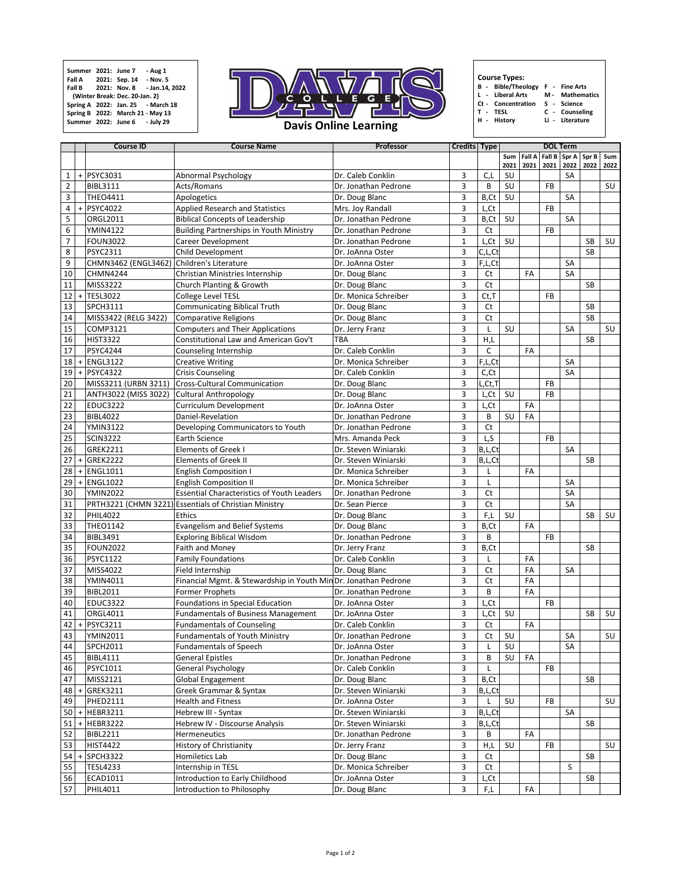|                |     | <b>Course ID</b>                           | <b>Course Name</b>                                              | Professor                                | <b>Credits   Type  </b> |           |             |                       |           | <b>DOL Term</b>                            |           |             |
|----------------|-----|--------------------------------------------|-----------------------------------------------------------------|------------------------------------------|-------------------------|-----------|-------------|-----------------------|-----------|--------------------------------------------|-----------|-------------|
|                |     |                                            |                                                                 |                                          |                         |           | Sum<br>2021 | <b>Fall A</b><br>2021 | 2021      | Fall B $\vert$ Spr A $\vert$ Spr B<br>2022 | 2022      | Sum<br>2022 |
| 1              |     | $+$ PSYC3031                               | <b>Abnormal Psychology</b>                                      | Dr. Caleb Conklin                        | 3                       | C, L      | SU          |                       |           | <b>SA</b>                                  |           |             |
| $\overline{2}$ |     | <b>BIBL3111</b>                            | Acts/Romans                                                     | Dr. Jonathan Pedrone                     | 3                       | B         | <b>SU</b>   |                       | <b>FB</b> |                                            |           | SU          |
| 3              |     | <b>THEO4411</b>                            | Apologetics                                                     | Dr. Doug Blanc                           | 3                       | B,Ct      | SU          |                       |           | <b>SA</b>                                  |           |             |
| 4              | $+$ | <b>PSYC4022</b>                            | <b>Applied Research and Statistics</b>                          | Mrs. Joy Randall                         | 3                       | L,Ct      |             |                       | <b>FB</b> |                                            |           |             |
| 5              |     | <b>ORGL2011</b>                            | <b>Biblical Concepts of Leadership</b>                          | Dr. Jonathan Pedrone<br>3<br>B, Ct<br>SU |                         |           |             |                       | <b>SA</b> |                                            |           |             |
| 6              |     | <b>YMIN4122</b>                            | <b>Building Partnerships in Youth Ministry</b>                  | 3<br><b>Ct</b><br>Dr. Jonathan Pedrone   |                         |           | <b>FB</b>   |                       |           |                                            |           |             |
| $\overline{7}$ |     | <b>FOUN3022</b>                            | <b>Career Development</b>                                       | Dr. Jonathan Pedrone                     |                         | L,Ct      | SU          |                       |           |                                            | <b>SB</b> | SU          |
| 8              |     | <b>PSYC2311</b>                            | <b>Child Development</b>                                        | Dr. JoAnna Oster                         | $\mathbf{3}$            | C, L, Ct  |             |                       |           | <b>SB</b>                                  |           |             |
| 9              |     | CHMN3462 (ENGL3462) Children's Literature  |                                                                 | Dr. JoAnna Oster                         | 3                       | F,L,Ct    |             |                       |           | <b>SA</b>                                  |           |             |
| 10             |     | <b>CHMN4244</b>                            | Christian Ministries Internship                                 | Dr. Doug Blanc                           | 3                       | <b>Ct</b> |             | <b>FA</b>             |           | <b>SA</b>                                  |           |             |
| 11             |     | MISS3222                                   | Church Planting & Growth                                        | 3<br><b>Ct</b><br>Dr. Doug Blanc         |                         |           |             | <b>SB</b>             |           |                                            |           |             |
| 12             | $+$ | <b>TESL3022</b>                            | <b>College Level TESL</b>                                       | Dr. Monica Schreiber                     |                         | $Ct$ , T  |             |                       | <b>FB</b> |                                            |           |             |
| 13             |     | <b>SPCH3111</b>                            | <b>Communicating Biblical Truth</b>                             | Dr. Doug Blanc                           |                         | <b>Ct</b> |             |                       |           |                                            | <b>SB</b> |             |
| 14             |     | MISS3422 (RELG 3422)                       | <b>Comparative Religions</b>                                    | Dr. Doug Blanc                           |                         | <b>Ct</b> |             |                       |           |                                            | <b>SB</b> |             |
| 15             |     | <b>COMP3121</b>                            | <b>Computers and Their Applications</b>                         | Dr. Jerry Franz                          | 3                       |           | SU          |                       |           | <b>SA</b>                                  |           | <b>SU</b>   |
| 16             |     | <b>HIST3322</b>                            | Constitutional Law and American Gov't                           | <b>TBA</b>                               | 3                       | H,L       |             |                       |           |                                            | <b>SB</b> |             |
| 17             |     | <b>PSYC4244</b>                            | Counseling Internship                                           | Dr. Caleb Conklin                        | 3                       | C         |             | FA                    |           |                                            |           |             |
| 18             | $+$ | <b>ENGL3122</b>                            | <b>Creative Writing</b>                                         | Dr. Monica Schreiber                     | $\overline{3}$          | F,L,Ct    |             |                       |           | <b>SA</b>                                  |           |             |
| 19             |     | $+$ PSYC4322                               | <b>Crisis Counseling</b>                                        | Dr. Caleb Conklin                        | 3                       | C, Ct     |             |                       |           | <b>SA</b>                                  |           |             |
| 20             |     | MISS3211 (URBN 3211)                       | <b>Cross-Cultural Communication</b>                             | Dr. Doug Blanc                           | 3                       | _,Ct,T'   |             |                       | <b>FB</b> |                                            |           |             |
| 21             |     | ANTH3022 (MISS 3022) Cultural Anthropology |                                                                 | Dr. Doug Blanc                           | 3                       | L,Ct      | SU          |                       | <b>FB</b> |                                            |           |             |
| 22             |     | <b>EDUC3222</b>                            | <b>Curriculum Development</b>                                   | Dr. JoAnna Oster                         | $\overline{3}$          | L,Ct      |             | FA                    |           |                                            |           |             |
| 23             |     | <b>BIBL4022</b>                            | Daniel-Revelation                                               | Dr. Jonathan Pedrone                     | 3                       | B         | SU          | FA                    |           |                                            |           |             |
| 24             |     | <b>YMIN3122</b>                            | Developing Communicators to Youth                               | Dr. Jonathan Pedrone                     | 3                       | <b>Ct</b> |             |                       |           |                                            |           |             |
| 25             |     | <b>SCIN3222</b>                            | <b>Earth Science</b>                                            | Mrs. Amanda Peck                         | 3                       | L,S       |             |                       | <b>FB</b> |                                            |           |             |
| 26             |     | <b>GREK2211</b>                            | <b>Elements of Greek I</b>                                      | Dr. Steven Winiarski                     | 3                       | B,L, Ct   |             |                       |           | <b>SA</b>                                  |           |             |
| 27             |     | $+ GREK2222$                               | <b>Elements of Greek II</b>                                     | Dr. Steven Winiarski                     | 3                       | B,L,Ct    |             |                       |           |                                            | <b>SB</b> |             |
| 28             | $+$ | <b>ENGL1011</b>                            | <b>English Composition I</b>                                    | Dr. Monica Schreiber                     | 3                       |           |             | FA                    |           |                                            |           |             |
| 29             | $+$ | <b>ENGL1022</b>                            | <b>English Composition II</b>                                   | Dr. Monica Schreiber                     | 3                       |           |             |                       |           | <b>SA</b>                                  |           |             |
|                |     |                                            |                                                                 |                                          |                         |           |             |                       |           | <b>SA</b>                                  |           |             |
| 30             |     | <b>YMIN2022</b>                            | <b>Essential Characteristics of Youth Leaders</b>               | Dr. Jonathan Pedrone                     | $\overline{3}$          | <b>Ct</b> |             |                       |           |                                            |           |             |
| 31             |     |                                            | PRTH3221 (CHMN 3221) Essentials of Christian Ministry           | Dr. Sean Pierce                          | 3                       | <b>Ct</b> |             |                       |           | <b>SA</b>                                  |           |             |
| 32             |     | <b>PHIL4022</b>                            | <b>Ethics</b>                                                   | Dr. Doug Blanc                           | 3                       | F,L       | SU          |                       |           |                                            | <b>SB</b> | SU          |
| 33             |     | <b>THEO1142</b>                            | <b>Evangelism and Belief Systems</b>                            | Dr. Doug Blanc                           | 3                       | B, Ct     |             | FA                    |           |                                            |           |             |
| 34             |     | <b>BIBL3491</b>                            | <b>Exploring Biblical Wisdom</b>                                | Dr. Jonathan Pedrone                     | 3                       | B         |             |                       | <b>FB</b> |                                            |           |             |
| 35             |     | <b>FOUN2022</b>                            | <b>Faith and Money</b>                                          | Dr. Jerry Franz                          | 3                       | B,Ct      |             |                       |           |                                            | <b>SB</b> |             |
| 36             |     | <b>PSYC1122</b>                            | <b>Family Foundations</b>                                       | Dr. Caleb Conklin                        | $\overline{3}$          |           |             | FA                    |           |                                            |           |             |
| 37             |     | MISS4022                                   | Field Internship                                                | Dr. Doug Blanc                           | 3                       | <b>Ct</b> |             | <b>FA</b>             |           | <b>SA</b>                                  |           |             |
| 38             |     | <b>YMIN4011</b>                            | Financial Mgmt. & Stewardship in Youth Min Dr. Jonathan Pedrone |                                          | $\overline{3}$          | <b>Ct</b> |             | <b>FA</b>             |           |                                            |           |             |
| 39             |     | <b>BIBL2011</b>                            | <b>Former Prophets</b>                                          | Dr. Jonathan Pedrone                     | 3                       | B         |             | FA                    |           |                                            |           |             |
| 40             |     | <b>EDUC3322</b>                            | <b>Foundations in Special Education</b>                         | Dr. JoAnna Oster                         | 3                       | L,Ct      |             |                       | <b>FB</b> |                                            |           |             |
| 41             |     | <b>ORGL4011</b>                            | <b>Fundamentals of Business Management</b>                      | Dr. JoAnna Oster                         | 3                       | L,Ct      | SU          |                       |           |                                            | <b>SB</b> | <b>SU</b>   |
| 42             | $+$ | <b>PSYC3211</b>                            | <b>Fundamentals of Counseling</b>                               | Dr. Caleb Conklin                        | 3                       | <b>Ct</b> |             | FA                    |           |                                            |           |             |
| 43             |     | <b>YMIN2011</b>                            | <b>Fundamentals of Youth Ministry</b>                           | Dr. Jonathan Pedrone                     | $\overline{3}$          | Ct        | SU          |                       |           | <b>SA</b>                                  |           | SU          |
| 44             |     | <b>SPCH2011</b>                            | <b>Fundamentals of Speech</b>                                   | Dr. JoAnna Oster                         | $\overline{3}$          |           | SU          |                       |           | <b>SA</b>                                  |           |             |
| 45             |     | <b>BIBL4111</b>                            | <b>General Epistles</b>                                         | Dr. Jonathan Pedrone                     | 2                       | B         | SU          | FA                    |           |                                            |           |             |
| 46             |     | <b>PSYC1011</b>                            | <b>General Psychology</b>                                       | Dr. Caleb Conklin                        | 3                       |           |             |                       | <b>FB</b> |                                            |           |             |
| 47             |     | MISS2121                                   | <b>Global Engagement</b>                                        | Dr. Doug Blanc                           | $\mathbf{3}$            | B, Ct     |             |                       |           |                                            | <b>SB</b> |             |
| 48             | $+$ | <b>GREK3211</b>                            | <b>Greek Grammar &amp; Syntax</b>                               | Dr. Steven Winiarski                     | 3                       | B,L,Ct    |             |                       |           |                                            |           |             |
| 49             |     | <b>PHED2111</b>                            | <b>Health and Fitness</b>                                       | Dr. JoAnna Oster                         | 3                       |           | SU          |                       | <b>FB</b> |                                            |           | SU          |
| 50             |     | $+$ HEBR3211                               | Hebrew III - Syntax                                             | Dr. Steven Winiarski                     | 3                       | B,L, Ct   |             |                       |           | <b>SA</b>                                  |           |             |
| 51             |     | $+$ HEBR3222                               | <b>Hebrew IV - Discourse Analysis</b>                           | Dr. Steven Winiarski                     | 3                       | B,L,Ct    |             |                       |           |                                            | <b>SB</b> |             |
| 52             |     | <b>BIBL2211</b>                            | <b>Hermeneutics</b>                                             | Dr. Jonathan Pedrone                     | 3                       | B         |             | <b>FA</b>             |           |                                            |           |             |
| 53             |     | <b>HIST4422</b>                            | <b>History of Christianity</b>                                  | Dr. Jerry Franz                          | 3                       | H,L       | SU          |                       | <b>FB</b> |                                            |           | <b>SU</b>   |
| 54             | $+$ | <b>SPCH3322</b>                            | Homiletics Lab                                                  | Dr. Doug Blanc                           | 3                       | <b>Ct</b> |             |                       |           |                                            | <b>SB</b> |             |
| 55             |     | <b>TESL4233</b>                            | Internship in TESL                                              | Dr. Monica Schreiber                     | 3                       | <b>Ct</b> |             |                       |           | $\mathsf{S}$                               |           |             |
| 56             |     | ECAD1011                                   | Introduction to Early Childhood                                 | Dr. JoAnna Oster                         | 3                       | L,Ct      |             |                       |           |                                            | <b>SB</b> |             |
| 57             |     | <b>PHIL4011</b>                            | Introduction to Philosophy                                      | Dr. Doug Blanc                           | 3                       | F,L       |             | FA                    |           |                                            |           |             |

## **Davis Online Learning**

**Summer 2021: June 7 - Aug 1 Fall A 2021: Sep. 14 - Nov. 5 Fall B 2021: Nov. 8 - Jan.14, 2022 (Winter Break: Dec. 20-Jan. 2) Spring A 2022: Jan. 25 - March 18 Spring B 2022: March 21 - May 13 Summer 2022: June 6 - July 29**



**B - Bible/Theology F - Fine Arts L - Liberal Arts M - Mathematics Ct - Concentration S - Science T - TESL C - Counseling**

**H - History Li - Literature**